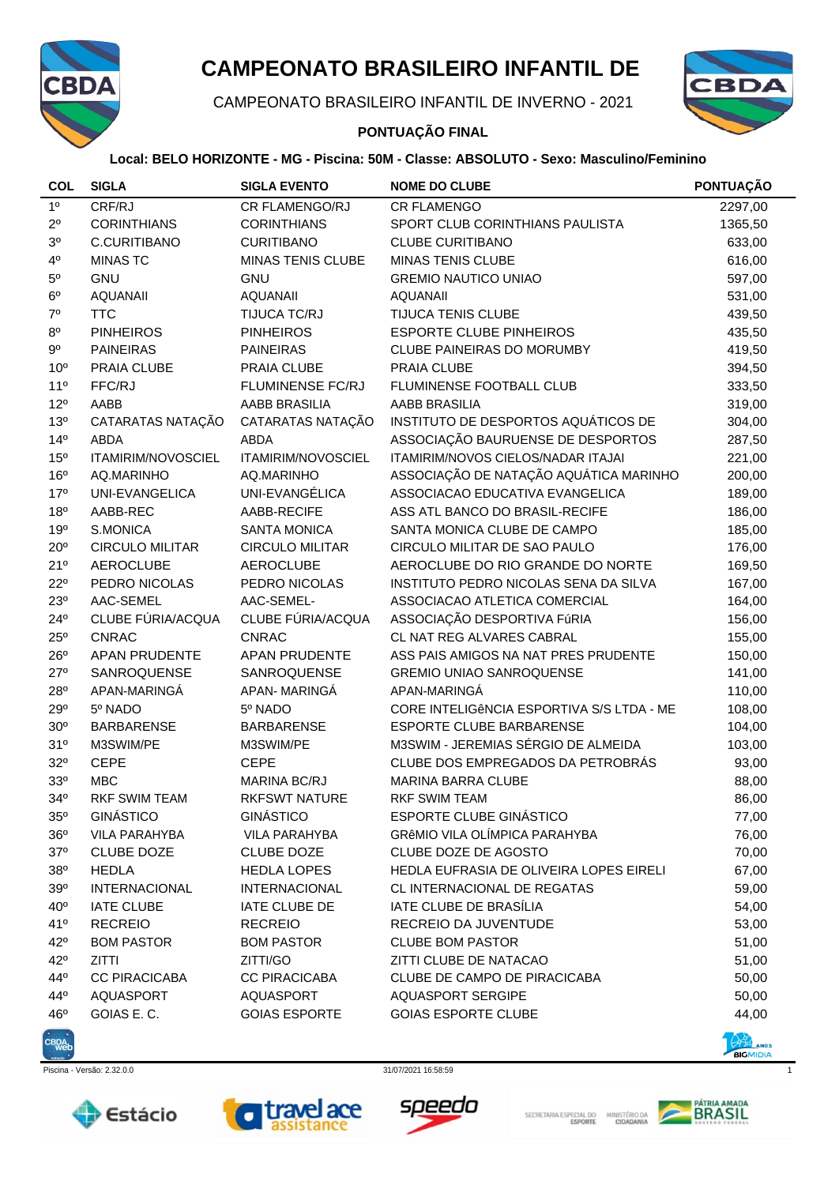

# **CAMPEONATO BRASILEIRO INFANTIL DE**

CAMPEONATO BRASILEIRO INFANTIL DE INVERNO - 2021

## **PONTUAÇÃO FINAL**



### **Local: BELO HORIZONTE - MG - Piscina: 50M - Classe: ABSOLUTO - Sexo: Masculino/Feminino**

| <b>COL</b>      | <b>SIGLA</b>           | <b>SIGLA EVENTO</b>      | <b>NOME DO CLUBE</b>                      | PONTUAÇÃO |
|-----------------|------------------------|--------------------------|-------------------------------------------|-----------|
| 1 <sup>0</sup>  | CRF/RJ                 | CR FLAMENGO/RJ           | <b>CR FLAMENGO</b>                        | 2297,00   |
| $2^{\circ}$     | <b>CORINTHIANS</b>     | <b>CORINTHIANS</b>       | SPORT CLUB CORINTHIANS PAULISTA           | 1365,50   |
| $3^{\rm o}$     | C.CURITIBANO           | <b>CURITIBANO</b>        | <b>CLUBE CURITIBANO</b>                   | 633,00    |
| $4^{\circ}$     | <b>MINAS TC</b>        | <b>MINAS TENIS CLUBE</b> | <b>MINAS TENIS CLUBE</b>                  | 616,00    |
| $5^{\rm o}$     | <b>GNU</b>             | <b>GNU</b>               | <b>GREMIO NAUTICO UNIAO</b>               | 597,00    |
| $6^{\rm o}$     | <b>AQUANAII</b>        | <b>AQUANAII</b>          | <b>AQUANAII</b>                           | 531,00    |
| $7^{\circ}$     | <b>TTC</b>             | TIJUCA TC/RJ             | <b>TIJUCA TENIS CLUBE</b>                 | 439,50    |
| $8^{\rm o}$     | <b>PINHEIROS</b>       | <b>PINHEIROS</b>         | <b>ESPORTE CLUBE PINHEIROS</b>            | 435,50    |
| $9^{\circ}$     | <b>PAINEIRAS</b>       | <b>PAINEIRAS</b>         | CLUBE PAINEIRAS DO MORUMBY                | 419,50    |
| 10 <sup>o</sup> | PRAIA CLUBE            | PRAIA CLUBE              | PRAIA CLUBE                               | 394,50    |
| 11 <sup>0</sup> | FFC/RJ                 | <b>FLUMINENSE FC/RJ</b>  | FLUMINENSE FOOTBALL CLUB                  | 333,50    |
| $12^{\circ}$    | AABB                   | AABB BRASILIA            | AABB BRASILIA                             | 319,00    |
| 13 <sup>o</sup> | CATARATAS NATAÇÃO      | CATARATAS NATAÇÃO        | INSTITUTO DE DESPORTOS AQUÁTICOS DE       | 304,00    |
| 14 <sup>°</sup> | ABDA                   | <b>ABDA</b>              | ASSOCIAÇÃO BAURUENSE DE DESPORTOS         | 287,50    |
| 15 <sup>o</sup> | ITAMIRIM/NOVOSCIEL     | ITAMIRIM/NOVOSCIEL       | <b>ITAMIRIM/NOVOS CIELOS/NADAR ITAJAI</b> | 221,00    |
| 16 <sup>o</sup> | AQ.MARINHO             | AQ.MARINHO               | ASSOCIAÇÃO DE NATAÇÃO AQUÁTICA MARINHO    | 200,00    |
| 17 <sup>°</sup> | UNI-EVANGELICA         | UNI-EVANGÉLICA           | ASSOCIACAO EDUCATIVA EVANGELICA           | 189,00    |
| 18 <sup>o</sup> | AABB-REC               | AABB-RECIFE              | ASS ATL BANCO DO BRASIL-RECIFE            | 186,00    |
| 19°             | S.MONICA               | <b>SANTA MONICA</b>      | SANTA MONICA CLUBE DE CAMPO               | 185,00    |
| $20^{\circ}$    | <b>CIRCULO MILITAR</b> | <b>CIRCULO MILITAR</b>   | CIRCULO MILITAR DE SAO PAULO              | 176,00    |
| 21°             | <b>AEROCLUBE</b>       | <b>AEROCLUBE</b>         | AEROCLUBE DO RIO GRANDE DO NORTE          | 169,50    |
| $22^{\circ}$    | PEDRO NICOLAS          | PEDRO NICOLAS            | INSTITUTO PEDRO NICOLAS SENA DA SILVA     | 167,00    |
| 23°             | AAC-SEMEL              | AAC-SEMEL-               | ASSOCIACAO ATLETICA COMERCIAL             | 164,00    |
| $24^{\circ}$    | CLUBE FÚRIA/ACQUA      | CLUBE FÚRIA/ACQUA        | ASSOCIAÇÃO DESPORTIVA FúRIA               | 156,00    |
| $25^{\circ}$    | <b>CNRAC</b>           | <b>CNRAC</b>             | CL NAT REG ALVARES CABRAL                 | 155,00    |
| $26^{\circ}$    | APAN PRUDENTE          | APAN PRUDENTE            | ASS PAIS AMIGOS NA NAT PRES PRUDENTE      | 150,00    |
| $27^{\circ}$    | SANROQUENSE            | SANROQUENSE              | <b>GREMIO UNIAO SANROQUENSE</b>           | 141,00    |
| 28°             | APAN-MARINGA           | APAN-MARINGÁ             | APAN-MARINGA                              | 110,00    |
| 29°             | 5º NADO                | 5º NADO                  | CORE INTELIGÊNCIA ESPORTIVA S/S LTDA - ME | 108,00    |
| 30 <sup>o</sup> | <b>BARBARENSE</b>      | <b>BARBARENSE</b>        | ESPORTE CLUBE BARBARENSE                  | 104,00    |
| 31°             | M3SWIM/PE              | M3SWIM/PE                | M3SWIM - JEREMIAS SÉRGIO DE ALMEIDA       | 103,00    |
| 32°             | <b>CEPE</b>            | <b>CEPE</b>              | CLUBE DOS EMPREGADOS DA PETROBRÁS         | 93,00     |
| 33 <sup>o</sup> | <b>MBC</b>             | <b>MARINA BC/RJ</b>      | MARINA BARRA CLUBE                        | 88,00     |
| 34°             | <b>RKF SWIM TEAM</b>   | <b>RKFSWT NATURE</b>     | <b>RKF SWIM TEAM</b>                      | 86,00     |
| $35^\circ$      | <b>GINÁSTICO</b>       | <b>GINÁSTICO</b>         | <b>ESPORTE CLUBE GINÁSTICO</b>            | 77,00     |
| $36^{\circ}$    | <b>VILA PARAHYBA</b>   | <b>VILA PARAHYBA</b>     | <b>GRÊMIO VILA OLÍMPICA PARAHYBA</b>      | 76,00     |
| $37^\circ$      | <b>CLUBE DOZE</b>      | <b>CLUBE DOZE</b>        | <b>CLUBE DOZE DE AGOSTO</b>               | 70,00     |
| 38 <sup>o</sup> | <b>HEDLA</b>           | <b>HEDLA LOPES</b>       | HEDLA EUFRASIA DE OLIVEIRA LOPES EIRELI   | 67,00     |
| 39°             | <b>INTERNACIONAL</b>   | <b>INTERNACIONAL</b>     | CL INTERNACIONAL DE REGATAS               | 59,00     |
| $40^{\circ}$    | <b>IATE CLUBE</b>      | IATE CLUBE DE            | IATE CLUBE DE BRASÍLIA                    | 54,00     |
| 41°             | <b>RECREIO</b>         | <b>RECREIO</b>           | RECREIO DA JUVENTUDE                      | 53,00     |
| $42^{\circ}$    | <b>BOM PASTOR</b>      | <b>BOM PASTOR</b>        | <b>CLUBE BOM PASTOR</b>                   | 51,00     |
| $42^{\circ}$    | <b>ZITTI</b>           | ZITTI/GO                 | ZITTI CLUBE DE NATACAO                    | 51,00     |
| $44^\circ$      | <b>CC PIRACICABA</b>   | <b>CC PIRACICABA</b>     | CLUBE DE CAMPO DE PIRACICABA              | 50,00     |
| $44^\circ$      | AQUASPORT              | AQUASPORT                | <b>AQUASPORT SERGIPE</b>                  | 50,00     |
| 46°             | GOIAS E.C.             | <b>GOIAS ESPORTE</b>     | <b>GOIAS ESPORTE CLUBE</b>                | 44,00     |



Piscina - Versão: 2.32.0.0 31/07/2021 16:58:59 1











**BIGMIDIA** 

SECRETARIA ESPECIAL DO